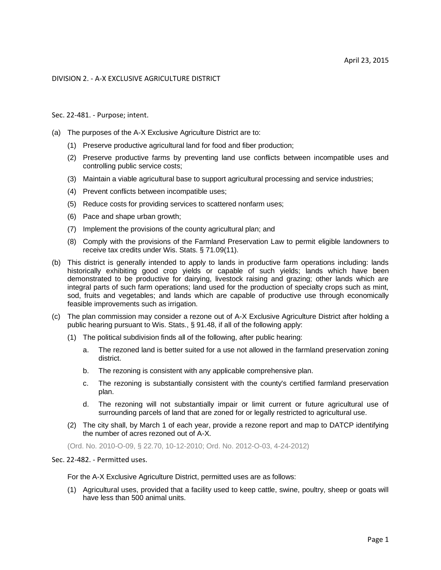## DIVISION 2. - A-X EXCLUSIVE AGRICULTURE DISTRICT

## Sec. 22-481. - Purpose; intent.

- (a) The purposes of the A-X Exclusive Agriculture District are to:
	- (1) Preserve productive agricultural land for food and fiber production;
	- (2) Preserve productive farms by preventing land use conflicts between incompatible uses and controlling public service costs;
	- (3) Maintain a viable agricultural base to support agricultural processing and service industries;
	- (4) Prevent conflicts between incompatible uses;
	- (5) Reduce costs for providing services to scattered nonfarm uses;
	- (6) Pace and shape urban growth;
	- (7) Implement the provisions of the county agricultural plan; and
	- (8) Comply with the provisions of the Farmland Preservation Law to permit eligible landowners to receive tax credits under Wis. Stats. § 71.09(11).
- (b) This district is generally intended to apply to lands in productive farm operations including: lands historically exhibiting good crop yields or capable of such yields; lands which have been demonstrated to be productive for dairying, livestock raising and grazing; other lands which are integral parts of such farm operations; land used for the production of specialty crops such as mint, sod, fruits and vegetables; and lands which are capable of productive use through economically feasible improvements such as irrigation.
- (c) The plan commission may consider a rezone out of A-X Exclusive Agriculture District after holding a public hearing pursuant to Wis. Stats., § 91.48, if all of the following apply:
	- (1) The political subdivision finds all of the following, after public hearing:
		- a. The rezoned land is better suited for a use not allowed in the farmland preservation zoning district.
		- b. The rezoning is consistent with any applicable comprehensive plan.
		- c. The rezoning is substantially consistent with the county's certified farmland preservation plan.
		- d. The rezoning will not substantially impair or limit current or future agricultural use of surrounding parcels of land that are zoned for or legally restricted to agricultural use.
	- (2) The city shall, by March 1 of each year, provide a rezone report and map to DATCP identifying the number of acres rezoned out of A-X.

(Ord. No. 2010-O-09, § 22.70, 10-12-2010; Ord. No. 2012-O-03, 4-24-2012)

## Sec. 22-482. - Permitted uses.

For the A-X Exclusive Agriculture District, permitted uses are as follows:

(1) Agricultural uses, provided that a facility used to keep cattle, swine, poultry, sheep or goats will have less than 500 animal units.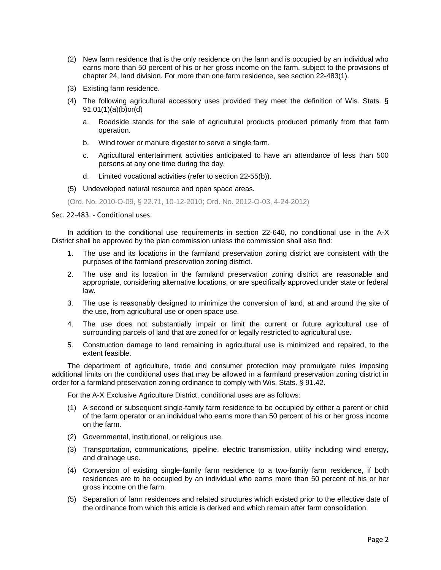- (2) New farm residence that is the only residence on the farm and is occupied by an individual who earns more than 50 percent of his or her gross income on the farm, subject to the provisions of chapter 24, land division. For more than one farm residence, see section 22-483(1).
- (3) Existing farm residence.
- (4) The following agricultural accessory uses provided they meet the definition of Wis. Stats. § 91.01(1)(a)(b)or(d)
	- a. Roadside stands for the sale of agricultural products produced primarily from that farm operation.
	- b. Wind tower or manure digester to serve a single farm.
	- c. Agricultural entertainment activities anticipated to have an attendance of less than 500 persons at any one time during the day.
	- d. Limited vocational activities (refer to section 22-55(b)).
- (5) Undeveloped natural resource and open space areas.
- (Ord. No. 2010-O-09, § 22.71, 10-12-2010; Ord. No. 2012-O-03, 4-24-2012)

## Sec. 22-483. - Conditional uses.

In addition to the conditional use requirements in section 22-640, no conditional use in the A-X District shall be approved by the plan commission unless the commission shall also find:

- 1. The use and its locations in the farmland preservation zoning district are consistent with the purposes of the farmland preservation zoning district.
- 2. The use and its location in the farmland preservation zoning district are reasonable and appropriate, considering alternative locations, or are specifically approved under state or federal law.
- 3. The use is reasonably designed to minimize the conversion of land, at and around the site of the use, from agricultural use or open space use.
- 4. The use does not substantially impair or limit the current or future agricultural use of surrounding parcels of land that are zoned for or legally restricted to agricultural use.
- 5. Construction damage to land remaining in agricultural use is minimized and repaired, to the extent feasible.

The department of agriculture, trade and consumer protection may promulgate rules imposing additional limits on the conditional uses that may be allowed in a farmland preservation zoning district in order for a farmland preservation zoning ordinance to comply with Wis. Stats. § 91.42.

For the A-X Exclusive Agriculture District, conditional uses are as follows:

- (1) A second or subsequent single-family farm residence to be occupied by either a parent or child of the farm operator or an individual who earns more than 50 percent of his or her gross income on the farm.
- (2) Governmental, institutional, or religious use.
- (3) Transportation, communications, pipeline, electric transmission, utility including wind energy, and drainage use.
- (4) Conversion of existing single-family farm residence to a two-family farm residence, if both residences are to be occupied by an individual who earns more than 50 percent of his or her gross income on the farm.
- (5) Separation of farm residences and related structures which existed prior to the effective date of the ordinance from which this article is derived and which remain after farm consolidation.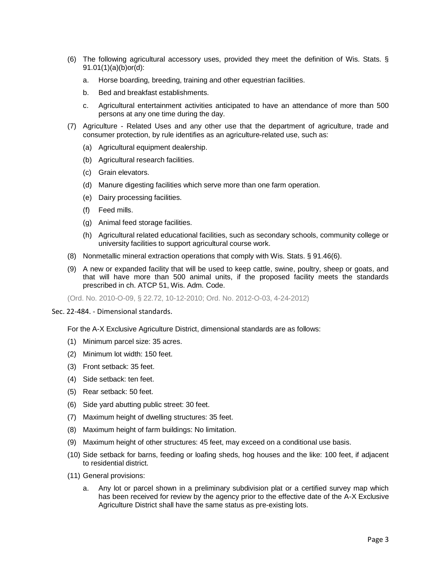- (6) The following agricultural accessory uses, provided they meet the definition of Wis. Stats. § 91.01(1)(a)(b)or(d):
	- a. Horse boarding, breeding, training and other equestrian facilities.
	- b. Bed and breakfast establishments.
	- c. Agricultural entertainment activities anticipated to have an attendance of more than 500 persons at any one time during the day.
- (7) Agriculture Related Uses and any other use that the department of agriculture, trade and consumer protection, by rule identifies as an agriculture-related use, such as:
	- (a) Agricultural equipment dealership.
	- (b) Agricultural research facilities.
	- (c) Grain elevators.
	- (d) Manure digesting facilities which serve more than one farm operation.
	- (e) Dairy processing facilities.
	- (f) Feed mills.
	- (g) Animal feed storage facilities.
	- (h) Agricultural related educational facilities, such as secondary schools, community college or university facilities to support agricultural course work.
- (8) Nonmetallic mineral extraction operations that comply with Wis. Stats. § 91.46(6).
- (9) A new or expanded facility that will be used to keep cattle, swine, poultry, sheep or goats, and that will have more than 500 animal units, if the proposed facility meets the standards prescribed in ch. ATCP 51, Wis. Adm. Code.

(Ord. No. 2010-O-09, § 22.72, 10-12-2010; Ord. No. 2012-O-03, 4-24-2012)

Sec. 22-484. - Dimensional standards.

For the A-X Exclusive Agriculture District, dimensional standards are as follows:

- (1) Minimum parcel size: 35 acres.
- (2) Minimum lot width: 150 feet.
- (3) Front setback: 35 feet.
- (4) Side setback: ten feet.
- (5) Rear setback: 50 feet.
- (6) Side yard abutting public street: 30 feet.
- (7) Maximum height of dwelling structures: 35 feet.
- (8) Maximum height of farm buildings: No limitation.
- (9) Maximum height of other structures: 45 feet, may exceed on a conditional use basis.
- (10) Side setback for barns, feeding or loafing sheds, hog houses and the like: 100 feet, if adjacent to residential district.
- (11) General provisions:
	- Any lot or parcel shown in a preliminary subdivision plat or a certified survey map which has been received for review by the agency prior to the effective date of the A-X Exclusive Agriculture District shall have the same status as pre-existing lots.